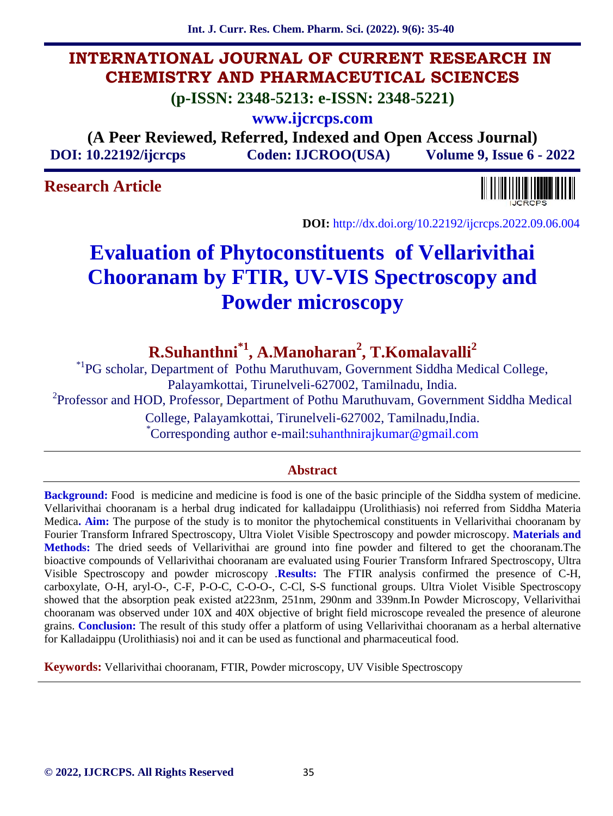**Int. J. Curr. Res. Chem. Pharm. Sci. (2022). 9(6): 35-40**

# **INTERNATIONAL JOURNAL OF CURRENT RESEARCH IN CHEMISTRY AND PHARMACEUTICAL SCIENCES**

**(p-ISSN: 2348-5213: e-ISSN: 2348-5221)**

**www.ijcrcps.com**

**(A Peer Reviewed, Referred, Indexed and Open Access Journal) DOI: 10.22192/ijcrcps Coden: IJCROO(USA) Volume 9, Issue 6 - 2022**

# **Research Article**



**DOI:** http://dx.doi.org/10.22192/ijcrcps.2022.09.06.004

# **Evaluation of Phytoconstituents of Vellarivithai Chooranam by FTIR, UV-VIS Spectroscopy and Powder microscopy**

**R.Suhanthni\*1, A.Manoharan<sup>2</sup> , T.Komalavalli<sup>2</sup>**

\*1PG scholar, Department of Pothu Maruthuvam, Government Siddha Medical College, Palayamkottai, Tirunelveli-627002, Tamilnadu, India. <sup>2</sup>Professor and HOD, Professor, Department of Pothu Maruthuvam, Government Siddha Medical

College, Palayamkottai, Tirunelveli-627002, Tamilnadu,India.<br>
\*Corresponding author e-mail:suhanthnirajkumar@gmail.com

## **Abstract**

**Background:** Food is medicine and medicine is food is one of the basic principle of the Siddha system of medicine. Vellarivithai chooranam is a herbal drug indicated for kalladaippu (Urolithiasis) noi referred from Siddha Materia Medica**. Aim:** The purpose of the study is to monitor the phytochemical constituents in Vellarivithai chooranam by Fourier Transform Infrared Spectroscopy, Ultra Violet Visible Spectroscopy and powder microscopy. **Materials and Methods:** The dried seeds of Vellarivithai are ground into fine powder and filtered to get the chooranam.The bioactive compounds of Vellarivithai chooranam are evaluated using Fourier Transform Infrared Spectroscopy, Ultra Visible Spectroscopy and powder microscopy .**Results:** The FTIR analysis confirmed the presence of C-H, carboxylate, O-H, aryl-O-, C-F, P-O-C, C-O-O-, C-Cl, S-S functional groups. Ultra Violet Visible Spectroscopy showed that the absorption peak existed at223nm, 251nm, 290nm and 339nm.In Powder Microscopy, Vellarivithai chooranam was observed under 10X and 40X objective of bright field microscope revealed the presence of aleurone grains. **Conclusion:** The result of this study offer a platform of using Vellarivithai chooranam as a herbal alternative for Kalladaippu (Urolithiasis) noi and it can be used as functional and pharmaceutical food.

**Keywords:** Vellarivithai chooranam, FTIR, Powder microscopy, UV Visible Spectroscopy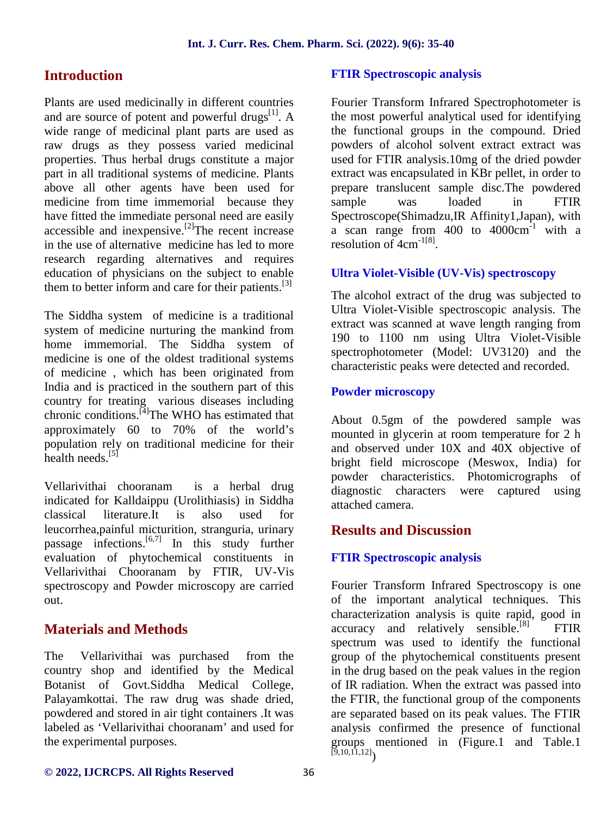## **Introduction**

Plants are used medicinally in different countries and are source of potent and powerful drugs $^{[1]}$ . A wide range of medicinal plant parts are used as raw drugs as they possess varied medicinal properties. Thus herbal drugs constitute a major part in all traditional systems of medicine. Plants above all other agents have been used for medicine from time immemorial because they sample have fitted the immediate personal need are easily  $rac{arc \times \text{free}}{2}$  accessible and inexpensive.<sup>[2]</sup>The recent increase in the use of alternative medicine has led to more research regarding alternatives and requires education of physicians on the subject to enable them to better inform and care for their patients.<sup>[3]</sup>

The Siddha system of medicine is a traditional system of medicine nurturing the mankind from home immemorial. The Siddha system of medicine is one of the oldest traditional systems of medicine , which has been originated from India and is practiced in the southern part of this country for treating various diseases including chronic conditions.<sup>[4]</sup>The WHO has estimated that approximately 60 to 70% of the world's population rely on traditional medicine for their health needs<sup>[5]</sup>

Vellarivithai chooranam is a herbal drug indicated for Kalldaippu (Urolithiasis) in Siddha classical literature.It is also used for leucorrhea,painful micturition, stranguria, urinary passage infections.<sup>[6,7]</sup> In this study further evaluation of phytochemical constituents in Vellarivithai Chooranam by FTIR, UV-Vis spectroscopy and Powder microscopy are carried out.

## **Materials and Methods**

The Vellarivithai was purchased from the country shop and identified by the Medical Botanist of Govt.Siddha Medical College, Palayamkottai. The raw drug was shade dried, powdered and stored in air tight containers .It was labeled as 'Vellarivithai chooranam' and used for the experimental purposes.

## **FTIR Spectroscopic analysis**

Fourier Transform Infrared Spectrophotometer is the most powerful analytical used for identifying the functional groups in the compound. Dried powders of alcohol solvent extract extract was used for FTIR analysis.10mg of the dried powder extract was encapsulated in KBr pellet, in order to prepare translucent sample disc.The powdered sample was loaded in FTIR Spectroscope(Shimadzu,IR Affinity1,Japan), with a scan range from  $400$  to  $4000 \text{cm}^{-1}$  with a resolution of  $4 \text{cm}^{-1[8]}$ .

### **Ultra Violet-Visible (UV-Vis) spectroscopy**

The alcohol extract of the drug was subjected to Ultra Violet-Visible spectroscopic analysis. The extract was scanned at wave length ranging from 190 to 1100 nm using Ultra Violet-Visible spectrophotometer (Model: UV3120) and the characteristic peaks were detected and recorded.

## **Powder microscopy**

About 0.5gm of the powdered sample was mounted in glycerin at room temperature for 2 h and observed under 10X and 40X objective of bright field microscope (Meswox, India) for powder characteristics. Photomicrographs of diagnostic characters were captured using attached camera.

## **Results and Discussion**

## **FTIR Spectroscopic analysis**

Fourier Transform Infrared Spectroscopy is one of the important analytical techniques. This characterization analysis is quite rapid, good in  $accuracy$  and relatively sensible.<sup>[8]</sup> FTIR spectrum was used to identify the functional group of the phytochemical constituents present in the drug based on the peak values in the region of IR radiation. When the extract was passed into the FTIR, the functional group of the components are separated based on its peak values. The FTIR analysis confirmed the presence of functional groups mentioned in (Figure.1 and Table.1  $\left[ 9,10,1\overline{1},12\right]$ )

#### **© 2022, IJCRCPS. All Rights Reserved** 36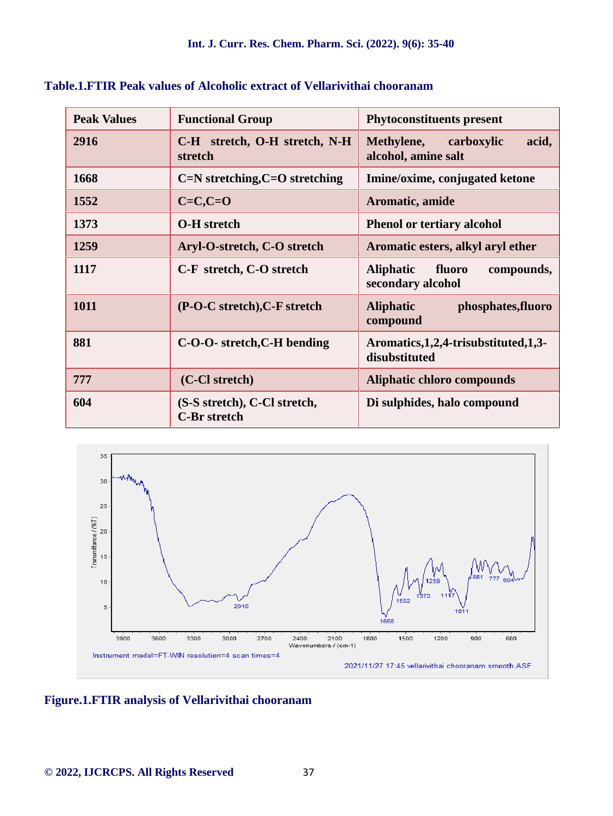| <b>Peak Values</b> | <b>Functional Group</b>                             | <b>Phytoconstituents present</b>                              |
|--------------------|-----------------------------------------------------|---------------------------------------------------------------|
| 2916               | C-H stretch, O-H stretch, N-H<br>stretch            | acid,<br>Methylene,<br>carboxylic<br>alcohol, amine salt      |
| 1668               | C=N stretching, C=O stretching                      | Imine/oxime, conjugated ketone                                |
| 1552               | $C=C, C=O$                                          | Aromatic, amide                                               |
| 1373               | <b>O-H</b> stretch                                  | <b>Phenol or tertiary alcohol</b>                             |
| 1259               | Aryl-O-stretch, C-O stretch                         | Aromatic esters, alkyl aryl ether                             |
| 1117               | C-F stretch, C-O stretch                            | <b>Aliphatic</b><br>fluoro<br>compounds,<br>secondary alcohol |
| 1011               | (P-O-C stretch), C-F stretch                        | <b>Aliphatic</b><br>phosphates, fluoro<br>compound            |
| 881                | C-O-O- stretch, C-H bending                         | Aromatics, 1, 2, 4-trisubstituted, 1, 3-<br>disubstituted     |
| 777                | (C-Cl stretch)                                      | <b>Aliphatic chloro compounds</b>                             |
| 604                | (S-S stretch), C-Cl stretch,<br><b>C-Br</b> stretch | Di sulphides, halo compound                                   |

**Table.1.FTIR Peak values of Alcoholic extract of Vellarivithai chooranam**



**Figure.1.FTIR analysis of Vellarivithai chooranam**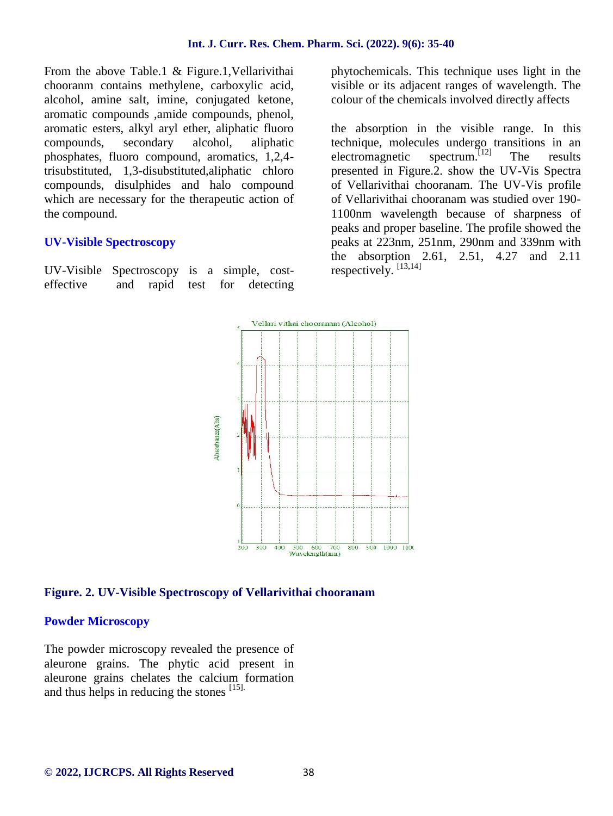From the above Table.1 & Figure.1, Vellarivithai chooranm contains methylene, carboxylic acid, alcohol, amine salt, imine, conjugated ketone, aromatic compounds ,amide compounds, phenol, aromatic esters, alkyl aryl ether, aliphatic fluoro compounds, secondary alcohol, aliphatic phosphates, fluoro compound, aromatics, 1,2,4 trisubstituted, 1,3-disubstituted,aliphatic chloro compounds, disulphides and halo compound which are necessary for the therapeutic action of the compound.

#### **UV-Visible Spectroscopy**

UV-Visible Spectroscopy is a simple, cost effective and rapid test for detecting phytochemicals. This technique uses light in the visible or its adjacent ranges of wavelength. The colour of the chemicals involved directly affects

the absorption in the visible range. In this technique, molecules undergo transitions in an electromagnetic spectrum. The results presented in Figure.2. show the UV-Vis Spectra of Vellarivithai chooranam. The UV-Vis profile of Vellarivithai chooranam was studied over 190- 1100nm wavelength because of sharpness of peaks and proper baseline. The profile showed the peaks at 223nm, 251nm, 290nm and 339nm with the absorption 2.61, 2.51, 4.27 and 2.11 respectively. [13,14]



#### **Figure. 2. UV-Visible Spectroscopy of Vellarivithai chooranam**

#### **Powder Microscopy**

The powder microscopy revealed the presence of aleurone grains. The phytic acid present in aleurone grains chelates the calcium formation and thus helps in reducing the stones [15].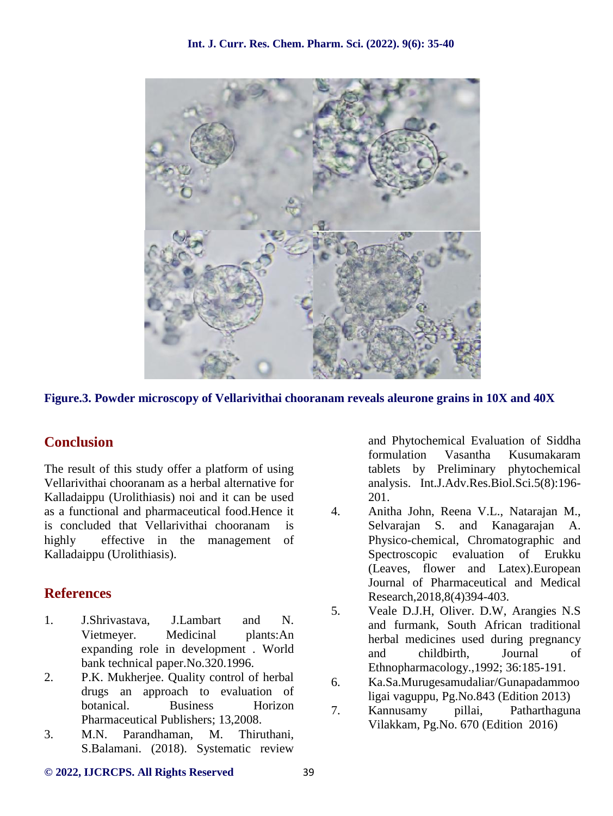

**Figure.3. Powder microscopy of Vellarivithai chooranam reveals aleurone grains in 10X and 40X**

# **Conclusion**

The result of this study offer a platform of using Vellarivithai chooranam as a herbal alternative for Kalladaippu (Urolithiasis) noi and it can be used as a functional and pharmaceutical food.Hence it is concluded that Vellarivithai chooranam is highly effective in the management of Kalladaippu (Urolithiasis).

# **References**

- 1. J.Shrivastava, J.Lambart and N. Vietmeyer. Medicinal plants:An expanding role in development . World bank technical paper.No.320.1996.
- 2. P.K. Mukherjee. Quality control of herbal drugs an approach to evaluation of botanical. Business Horizon 7. Pharmaceutical Publishers; 13,2008.
- 3. M.N. Parandhaman, M. Thiruthani, S.Balamani. (2018). Systematic review

and Phytochemical Evaluation of Siddha formulation Vasantha Kusumakaram tablets by Preliminary phytochemical analysis. Int.J.Adv.Res.Biol.Sci.5(8):196- 201.

- 4. Anitha John, Reena V.L., Natarajan M., Selvarajan S. and Kanagarajan A. Physico-chemical, Chromatographic and Spectroscopic evaluation of Erukku (Leaves, flower and Latex).European Journal of Pharmaceutical and Medical Research,2018,8(4)394-403.
- 5. Veale D.J.H, Oliver. D.W, Arangies N.S and furmank, South African traditional herbal medicines used during pregnancy and childbirth, Journal of Ethnopharmacology.,1992; 36:185-191.
- 6. Ka.Sa.Murugesamudaliar/Gunapadammoo ligai vaguppu, Pg.No.843 (Edition 2013)
- 7. Kannusamy pillai, Patharthaguna Vilakkam, Pg.No. 670 (Edition 2016)